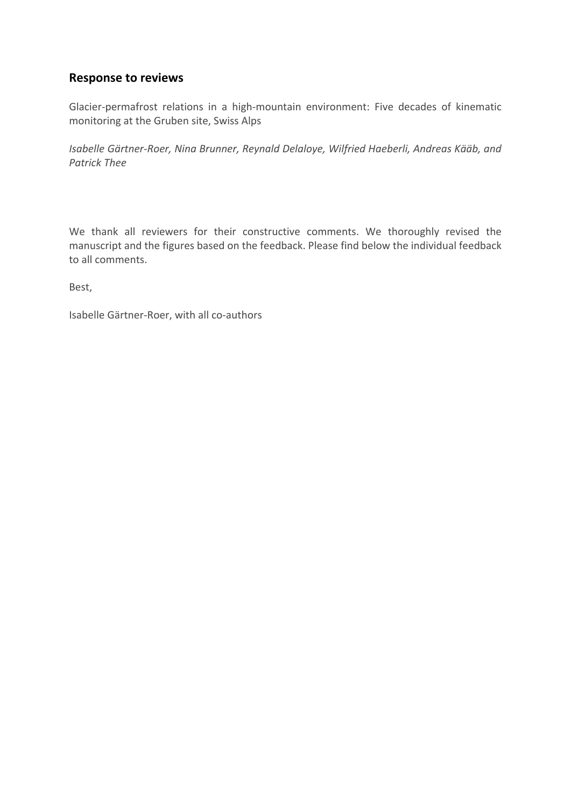# **Response to reviews**

Glacier-permafrost relations in a high-mountain environment: Five decades of kinematic monitoring at the Gruben site, Swiss Alps

*Isabelle Gärtner-Roer, Nina Brunner, Reynald Delaloye, Wilfried Haeberli, Andreas Kääb, and Patrick Thee*

We thank all reviewers for their constructive comments. We thoroughly revised the manuscript and the figures based on the feedback. Please find below the individual feedback to all comments.

Best,

Isabelle Gärtner-Roer, with all co-authors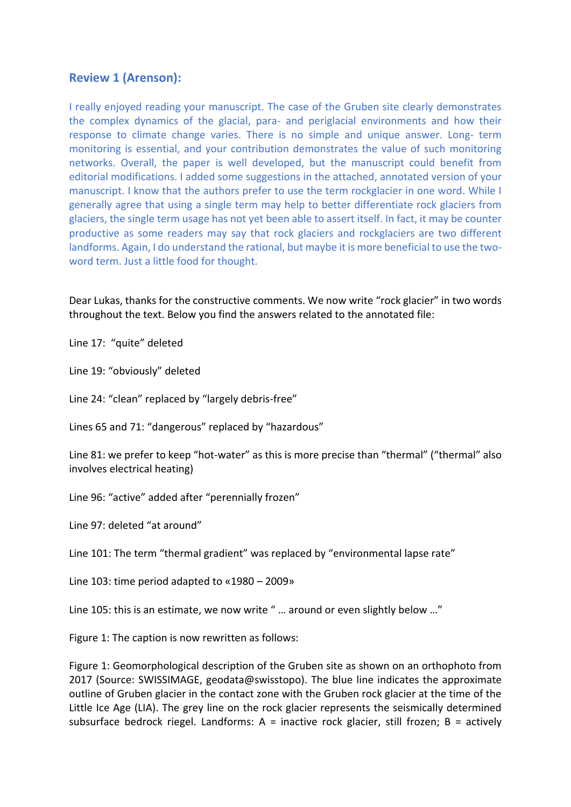# **Review 1 (Arenson):**

I really enjoyed reading your manuscript. The case of the Gruben site clearly demonstrates the complex dynamics of the glacial, para- and periglacial environments and how their response to climate change varies. There is no simple and unique answer. Long- term monitoring is essential, and your contribution demonstrates the value of such monitoring networks. Overall, the paper is well developed, but the manuscript could benefit from editorial modifications. I added some suggestions in the attached, annotated version of your manuscript. I know that the authors prefer to use the term rockglacier in one word. While I generally agree that using a single term may help to better differentiate rock glaciers from glaciers, the single term usage has not yet been able to assert itself. In fact, it may be counter productive as some readers may say that rock glaciers and rockglaciers are two different landforms. Again, I do understand the rational, but maybe it is more beneficial to use the twoword term. Just a little food for thought.

Dear Lukas, thanks for the constructive comments. We now write "rock glacier" in two words throughout the text. Below you find the answers related to the annotated file:

Line 17: "quite" deleted

Line 19: "obviously" deleted

Line 24: "clean" replaced by "largely debris-free"

Lines 65 and 71: "dangerous" replaced by "hazardous"

Line 81: we prefer to keep "hot-water" as this is more precise than "thermal" ("thermal" also involves electrical heating)

Line 96: "active" added after "perennially frozen"

Line 97: deleted "at around"

Line 101: The term "thermal gradient" was replaced by "environmental lapse rate"

Line 103: time period adapted to «1980 – 2009»

Line 105: this is an estimate, we now write " … around or even slightly below …"

Figure 1: The caption is now rewritten as follows:

Figure 1: Geomorphological description of the Gruben site as shown on an orthophoto from 2017 (Source: SWISSIMAGE, geodata@swisstopo). The blue line indicates the approximate outline of Gruben glacier in the contact zone with the Gruben rock glacier at the time of the Little Ice Age (LIA). The grey line on the rock glacier represents the seismically determined subsurface bedrock riegel. Landforms:  $A =$  inactive rock glacier, still frozen;  $B =$  actively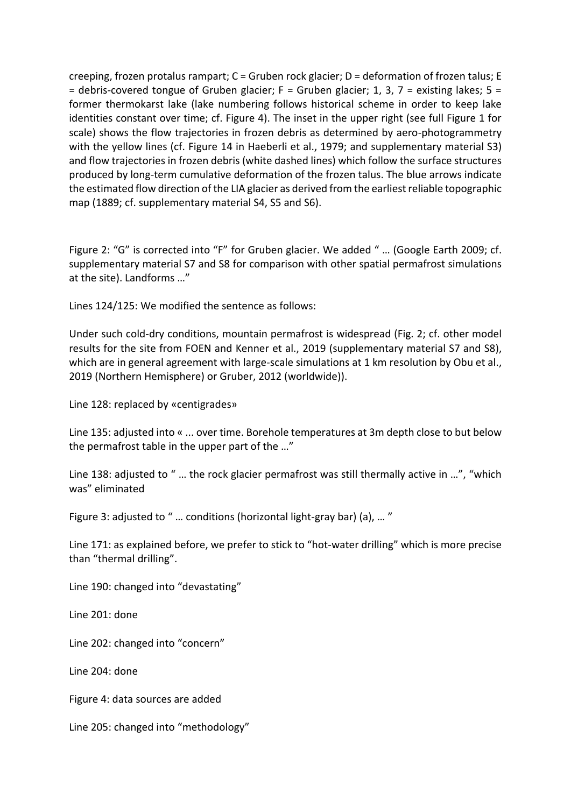creeping, frozen protalus rampart; C = Gruben rock glacier; D = deformation of frozen talus; E  $=$  debris-covered tongue of Gruben glacier; F = Gruben glacier; 1, 3, 7 = existing lakes; 5 = former thermokarst lake (lake numbering follows historical scheme in order to keep lake identities constant over time; cf. Figure 4). The inset in the upper right (see full Figure 1 for scale) shows the flow trajectories in frozen debris as determined by aero-photogrammetry with the yellow lines (cf. Figure 14 in Haeberli et al., 1979; and supplementary material S3) and flow trajectories in frozen debris (white dashed lines) which follow the surface structures produced by long-term cumulative deformation of the frozen talus. The blue arrows indicate the estimated flow direction of the LIA glacier as derived from the earliest reliable topographic map (1889; cf. supplementary material S4, S5 and S6).

Figure 2: "G" is corrected into "F" for Gruben glacier. We added " ... (Google Earth 2009; cf. supplementary material S7 and S8 for comparison with other spatial permafrost simulations at the site). Landforms …"

Lines 124/125: We modified the sentence as follows:

Under such cold-dry conditions, mountain permafrost is widespread (Fig. 2; cf. other model results for the site from FOEN and Kenner et al., 2019 (supplementary material S7 and S8), which are in general agreement with large-scale simulations at 1 km resolution by Obu et al., 2019 (Northern Hemisphere) or Gruber, 2012 (worldwide)).

Line 128: replaced by «centigrades»

Line 135: adjusted into « ... over time. Borehole temperatures at 3m depth close to but below the permafrost table in the upper part of the …"

Line 138: adjusted to " … the rock glacier permafrost was still thermally active in …", "which was" eliminated

Figure 3: adjusted to " … conditions (horizontal light-gray bar) (a), … "

Line 171: as explained before, we prefer to stick to "hot-water drilling" which is more precise than "thermal drilling".

Line 190: changed into "devastating"

Line 201: done

Line 202: changed into "concern"

Line 204: done

Figure 4: data sources are added

Line 205: changed into "methodology"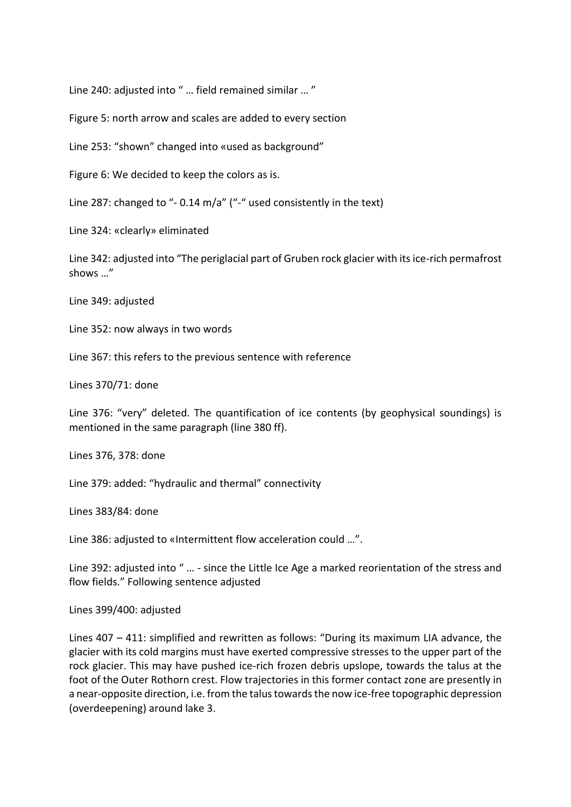Line 240: adjusted into " … field remained similar … "

Figure 5: north arrow and scales are added to every section

Line 253: "shown" changed into «used as background"

Figure 6: We decided to keep the colors as is.

Line 287: changed to "- 0.14 m/a" ("-" used consistently in the text)

Line 324: «clearly» eliminated

Line 342: adjusted into "The periglacial part of Gruben rock glacier with its ice-rich permafrost shows …"

Line 349: adjusted

Line 352: now always in two words

Line 367: this refers to the previous sentence with reference

Lines 370/71: done

Line 376: "very" deleted. The quantification of ice contents (by geophysical soundings) is mentioned in the same paragraph (line 380 ff).

Lines 376, 378: done

Line 379: added: "hydraulic and thermal" connectivity

Lines 383/84: done

Line 386: adjusted to «Intermittent flow acceleration could …".

Line 392: adjusted into " … - since the Little Ice Age a marked reorientation of the stress and flow fields." Following sentence adjusted

Lines 399/400: adjusted

Lines 407 – 411: simplified and rewritten as follows: "During its maximum LIA advance, the glacier with its cold margins must have exerted compressive stresses to the upper part of the rock glacier. This may have pushed ice-rich frozen debris upslope, towards the talus at the foot of the Outer Rothorn crest. Flow trajectories in this former contact zone are presently in a near-opposite direction, i.e. from the talus towards the now ice-free topographic depression (overdeepening) around lake 3.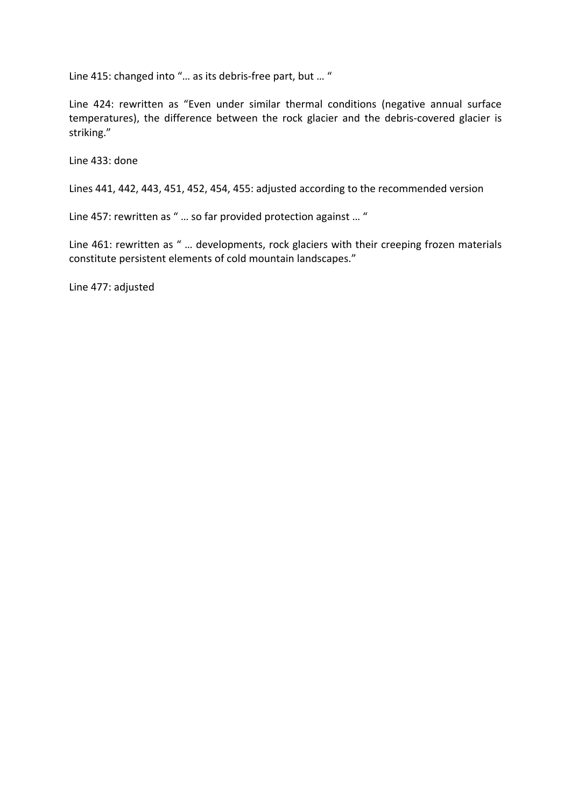Line 415: changed into "… as its debris-free part, but … "

Line 424: rewritten as "Even under similar thermal conditions (negative annual surface temperatures), the difference between the rock glacier and the debris-covered glacier is striking."

Line 433: done

Lines 441, 442, 443, 451, 452, 454, 455: adjusted according to the recommended version

Line 457: rewritten as " … so far provided protection against … "

Line 461: rewritten as " ... developments, rock glaciers with their creeping frozen materials constitute persistent elements of cold mountain landscapes."

Line 477: adjusted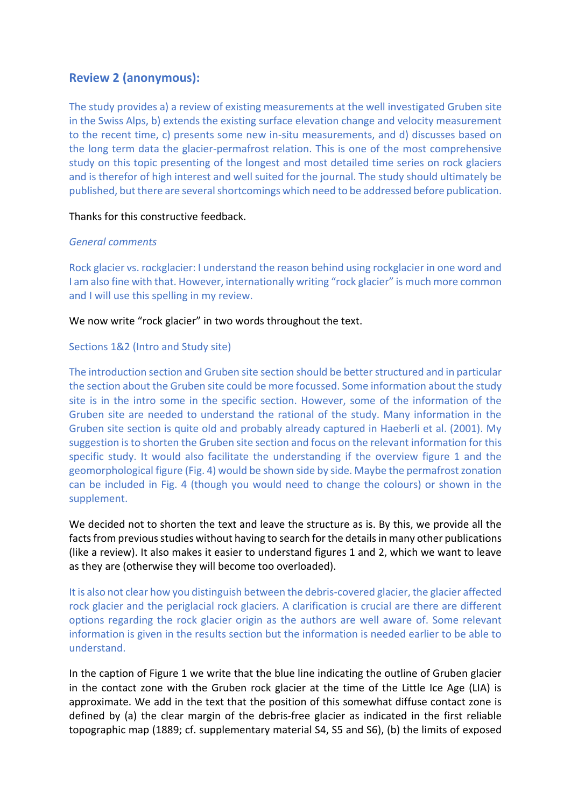# **Review 2 (anonymous):**

The study provides a) a review of existing measurements at the well investigated Gruben site in the Swiss Alps, b) extends the existing surface elevation change and velocity measurement to the recent time, c) presents some new in-situ measurements, and d) discusses based on the long term data the glacier-permafrost relation. This is one of the most comprehensive study on this topic presenting of the longest and most detailed time series on rock glaciers and is therefor of high interest and well suited for the journal. The study should ultimately be published, but there are several shortcomings which need to be addressed before publication.

### Thanks for this constructive feedback.

# *General comments*

Rock glacier vs. rockglacier: I understand the reason behind using rockglacier in one word and I am also fine with that. However, internationally writing "rock glacier" is much more common and I will use this spelling in my review.

We now write "rock glacier" in two words throughout the text.

# Sections 1&2 (Intro and Study site)

The introduction section and Gruben site section should be better structured and in particular the section about the Gruben site could be more focussed. Some information about the study site is in the intro some in the specific section. However, some of the information of the Gruben site are needed to understand the rational of the study. Many information in the Gruben site section is quite old and probably already captured in Haeberli et al. (2001). My suggestion is to shorten the Gruben site section and focus on the relevant information for this specific study. It would also facilitate the understanding if the overview figure 1 and the geomorphological figure (Fig. 4) would be shown side by side. Maybe the permafrost zonation can be included in Fig. 4 (though you would need to change the colours) or shown in the supplement.

We decided not to shorten the text and leave the structure as is. By this, we provide all the facts from previous studies without having to search for the details in many other publications (like a review). It also makes it easier to understand figures 1 and 2, which we want to leave as they are (otherwise they will become too overloaded).

It is also not clear how you distinguish between the debris-covered glacier, the glacier affected rock glacier and the periglacial rock glaciers. A clarification is crucial are there are different options regarding the rock glacier origin as the authors are well aware of. Some relevant information is given in the results section but the information is needed earlier to be able to understand.

In the caption of Figure 1 we write that the blue line indicating the outline of Gruben glacier in the contact zone with the Gruben rock glacier at the time of the Little Ice Age (LIA) is approximate. We add in the text that the position of this somewhat diffuse contact zone is defined by (a) the clear margin of the debris-free glacier as indicated in the first reliable topographic map (1889; cf. supplementary material S4, S5 and S6), (b) the limits of exposed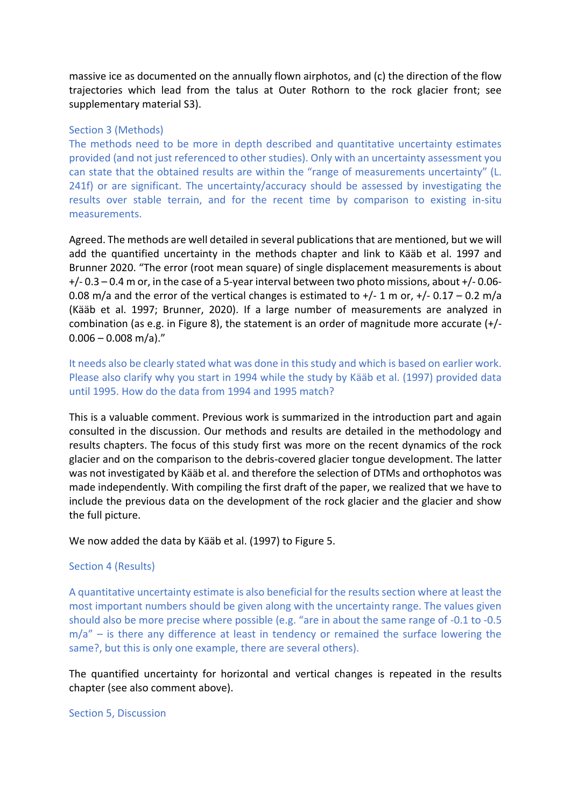massive ice as documented on the annually flown airphotos, and (c) the direction of the flow trajectories which lead from the talus at Outer Rothorn to the rock glacier front; see supplementary material S3).

#### Section 3 (Methods)

The methods need to be more in depth described and quantitative uncertainty estimates provided (and not just referenced to other studies). Only with an uncertainty assessment you can state that the obtained results are within the "range of measurements uncertainty" (L. 241f) or are significant. The uncertainty/accuracy should be assessed by investigating the results over stable terrain, and for the recent time by comparison to existing in-situ measurements.

Agreed. The methods are well detailed in several publications that are mentioned, but we will add the quantified uncertainty in the methods chapter and link to Kääb et al. 1997 and Brunner 2020. "The error (root mean square) of single displacement measurements is about +/- 0.3 – 0.4 m or, in the case of a 5-year interval between two photo missions, about +/- 0.06- 0.08 m/a and the error of the vertical changes is estimated to  $+/- 1$  m or,  $+/- 0.17 - 0.2$  m/a (Kääb et al. 1997; Brunner, 2020). If a large number of measurements are analyzed in combination (as e.g. in Figure 8), the statement is an order of magnitude more accurate (+/-  $0.006 - 0.008$  m/a)."

It needs also be clearly stated what was done in this study and which is based on earlier work. Please also clarify why you start in 1994 while the study by Kääb et al. (1997) provided data until 1995. How do the data from 1994 and 1995 match?

This is a valuable comment. Previous work is summarized in the introduction part and again consulted in the discussion. Our methods and results are detailed in the methodology and results chapters. The focus of this study first was more on the recent dynamics of the rock glacier and on the comparison to the debris-covered glacier tongue development. The latter was not investigated by Kääb et al. and therefore the selection of DTMs and orthophotos was made independently. With compiling the first draft of the paper, we realized that we have to include the previous data on the development of the rock glacier and the glacier and show the full picture.

We now added the data by Kääb et al. (1997) to Figure 5.

#### Section 4 (Results)

A quantitative uncertainty estimate is also beneficial for the results section where at least the most important numbers should be given along with the uncertainty range. The values given should also be more precise where possible (e.g. "are in about the same range of -0.1 to -0.5  $m/a''$  – is there any difference at least in tendency or remained the surface lowering the same?, but this is only one example, there are several others).

The quantified uncertainty for horizontal and vertical changes is repeated in the results chapter (see also comment above).

Section 5, Discussion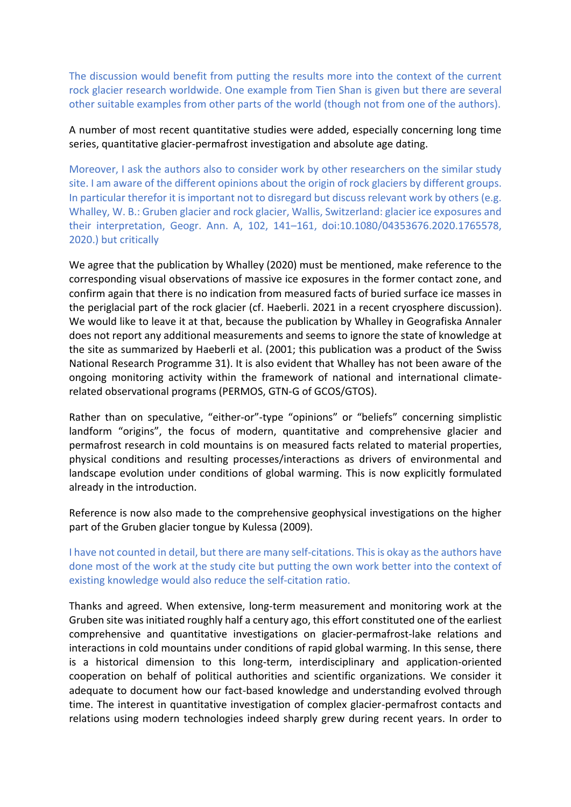The discussion would benefit from putting the results more into the context of the current rock glacier research worldwide. One example from Tien Shan is given but there are several other suitable examples from other parts of the world (though not from one of the authors).

# A number of most recent quantitative studies were added, especially concerning long time series, quantitative glacier-permafrost investigation and absolute age dating.

Moreover, I ask the authors also to consider work by other researchers on the similar study site. I am aware of the different opinions about the origin of rock glaciers by different groups. In particular therefor it is important not to disregard but discuss relevant work by others (e.g. Whalley, W. B.: Gruben glacier and rock glacier, Wallis, Switzerland: glacier ice exposures and their interpretation, Geogr. Ann. A, 102, 141–161, doi:10.1080/04353676.2020.1765578, 2020.) but critically

We agree that the publication by Whalley (2020) must be mentioned, make reference to the corresponding visual observations of massive ice exposures in the former contact zone, and confirm again that there is no indication from measured facts of buried surface ice masses in the periglacial part of the rock glacier (cf. Haeberli. 2021 in a recent cryosphere discussion). We would like to leave it at that, because the publication by Whalley in Geografiska Annaler does not report any additional measurements and seems to ignore the state of knowledge at the site as summarized by Haeberli et al. (2001; this publication was a product of the Swiss National Research Programme 31). It is also evident that Whalley has not been aware of the ongoing monitoring activity within the framework of national and international climaterelated observational programs (PERMOS, GTN-G of GCOS/GTOS).

Rather than on speculative, "either-or"-type "opinions" or "beliefs" concerning simplistic landform "origins", the focus of modern, quantitative and comprehensive glacier and permafrost research in cold mountains is on measured facts related to material properties, physical conditions and resulting processes/interactions as drivers of environmental and landscape evolution under conditions of global warming. This is now explicitly formulated already in the introduction.

Reference is now also made to the comprehensive geophysical investigations on the higher part of the Gruben glacier tongue by Kulessa (2009).

I have not counted in detail, but there are many self-citations. This is okay as the authors have done most of the work at the study cite but putting the own work better into the context of existing knowledge would also reduce the self-citation ratio.

Thanks and agreed. When extensive, long-term measurement and monitoring work at the Gruben site was initiated roughly half a century ago, this effort constituted one of the earliest comprehensive and quantitative investigations on glacier-permafrost-lake relations and interactions in cold mountains under conditions of rapid global warming. In this sense, there is a historical dimension to this long-term, interdisciplinary and application-oriented cooperation on behalf of political authorities and scientific organizations. We consider it adequate to document how our fact-based knowledge and understanding evolved through time. The interest in quantitative investigation of complex glacier-permafrost contacts and relations using modern technologies indeed sharply grew during recent years. In order to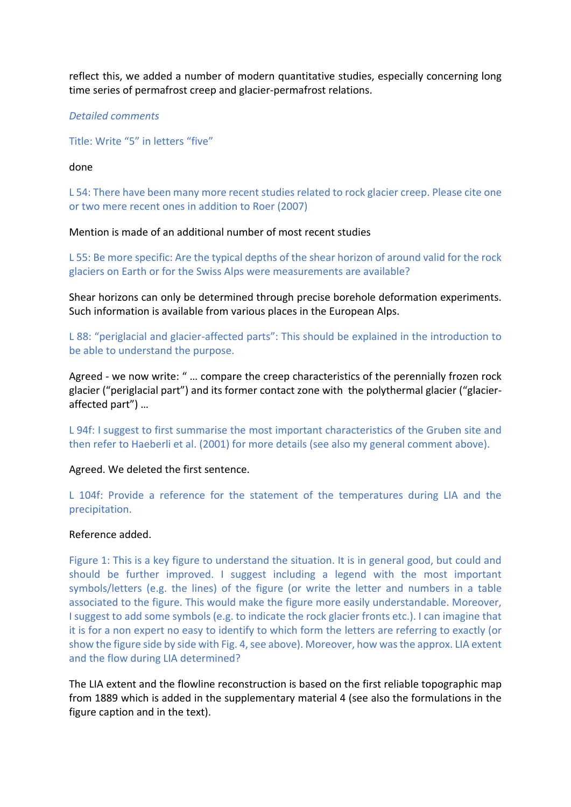reflect this, we added a number of modern quantitative studies, especially concerning long time series of permafrost creep and glacier-permafrost relations.

## *Detailed comments*

Title: Write "5" in letters "five"

## done

L 54: There have been many more recent studies related to rock glacier creep. Please cite one or two mere recent ones in addition to Roer (2007)

# Mention is made of an additional number of most recent studies

L 55: Be more specific: Are the typical depths of the shear horizon of around valid for the rock glaciers on Earth or for the Swiss Alps were measurements are available?

Shear horizons can only be determined through precise borehole deformation experiments. Such information is available from various places in the European Alps.

L 88: "periglacial and glacier-affected parts": This should be explained in the introduction to be able to understand the purpose.

Agreed - we now write: " … compare the creep characteristics of the perennially frozen rock glacier ("periglacial part") and its former contact zone with the polythermal glacier ("glacieraffected part") …

L 94f: I suggest to first summarise the most important characteristics of the Gruben site and then refer to Haeberli et al. (2001) for more details (see also my general comment above).

### Agreed. We deleted the first sentence.

L 104f: Provide a reference for the statement of the temperatures during LIA and the precipitation.

### Reference added.

Figure 1: This is a key figure to understand the situation. It is in general good, but could and should be further improved. I suggest including a legend with the most important symbols/letters (e.g. the lines) of the figure (or write the letter and numbers in a table associated to the figure. This would make the figure more easily understandable. Moreover, I suggest to add some symbols (e.g. to indicate the rock glacier fronts etc.). I can imagine that it is for a non expert no easy to identify to which form the letters are referring to exactly (or show the figure side by side with Fig. 4, see above). Moreover, how was the approx. LIA extent and the flow during LIA determined?

The LIA extent and the flowline reconstruction is based on the first reliable topographic map from 1889 which is added in the supplementary material 4 (see also the formulations in the figure caption and in the text).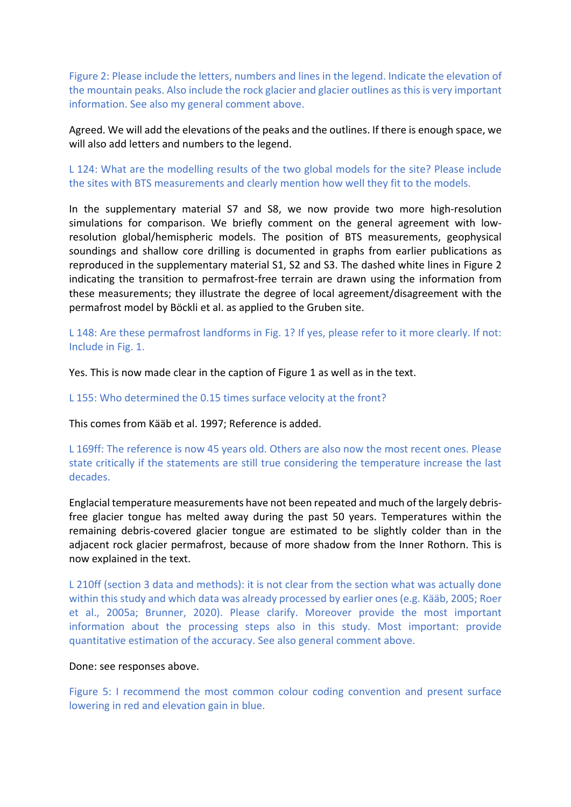Figure 2: Please include the letters, numbers and lines in the legend. Indicate the elevation of the mountain peaks. Also include the rock glacier and glacier outlines as this is very important information. See also my general comment above.

Agreed. We will add the elevations of the peaks and the outlines. If there is enough space, we will also add letters and numbers to the legend.

L 124: What are the modelling results of the two global models for the site? Please include the sites with BTS measurements and clearly mention how well they fit to the models.

In the supplementary material S7 and S8, we now provide two more high-resolution simulations for comparison. We briefly comment on the general agreement with lowresolution global/hemispheric models. The position of BTS measurements, geophysical soundings and shallow core drilling is documented in graphs from earlier publications as reproduced in the supplementary material S1, S2 and S3. The dashed white lines in Figure 2 indicating the transition to permafrost-free terrain are drawn using the information from these measurements; they illustrate the degree of local agreement/disagreement with the permafrost model by Böckli et al. as applied to the Gruben site.

L 148: Are these permafrost landforms in Fig. 1? If yes, please refer to it more clearly. If not: Include in Fig. 1.

Yes. This is now made clear in the caption of Figure 1 as well as in the text.

L 155: Who determined the 0.15 times surface velocity at the front?

This comes from Kääb et al. 1997; Reference is added.

L 169ff: The reference is now 45 years old. Others are also now the most recent ones. Please state critically if the statements are still true considering the temperature increase the last decades.

Englacial temperature measurements have not been repeated and much of the largely debrisfree glacier tongue has melted away during the past 50 years. Temperatures within the remaining debris-covered glacier tongue are estimated to be slightly colder than in the adjacent rock glacier permafrost, because of more shadow from the Inner Rothorn. This is now explained in the text.

L 210ff (section 3 data and methods): it is not clear from the section what was actually done within this study and which data was already processed by earlier ones (e.g. Kääb, 2005; Roer et al., 2005a; Brunner, 2020). Please clarify. Moreover provide the most important information about the processing steps also in this study. Most important: provide quantitative estimation of the accuracy. See also general comment above.

#### Done: see responses above.

Figure 5: I recommend the most common colour coding convention and present surface lowering in red and elevation gain in blue.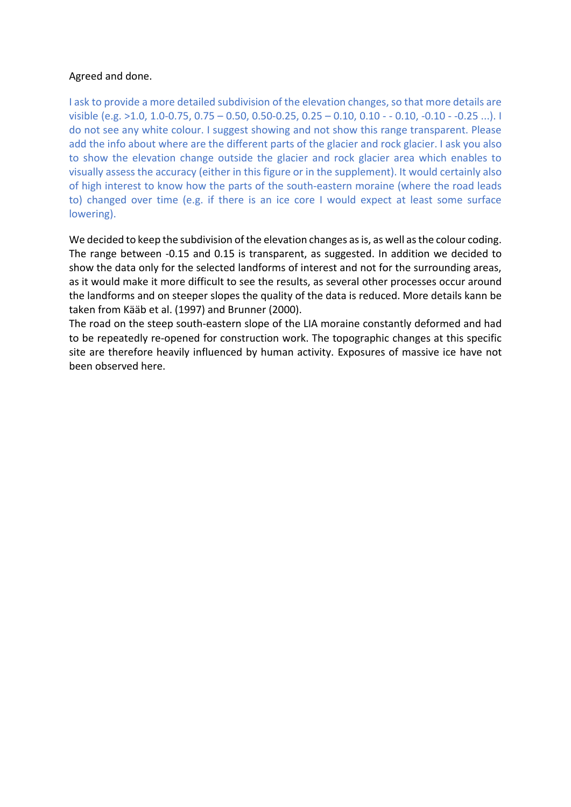# Agreed and done.

I ask to provide a more detailed subdivision of the elevation changes, so that more details are visible (e.g. >1.0, 1.0-0.75, 0.75 – 0.50, 0.50-0.25, 0.25 – 0.10, 0.10 - - 0.10, -0.10 - -0.25 ...). I do not see any white colour. I suggest showing and not show this range transparent. Please add the info about where are the different parts of the glacier and rock glacier. I ask you also to show the elevation change outside the glacier and rock glacier area which enables to visually assess the accuracy (either in this figure or in the supplement). It would certainly also of high interest to know how the parts of the south-eastern moraine (where the road leads to) changed over time (e.g. if there is an ice core I would expect at least some surface lowering).

We decided to keep the subdivision of the elevation changes as is, as well as the colour coding. The range between -0.15 and 0.15 is transparent, as suggested. In addition we decided to show the data only for the selected landforms of interest and not for the surrounding areas, as it would make it more difficult to see the results, as several other processes occur around the landforms and on steeper slopes the quality of the data is reduced. More details kann be taken from Kääb et al. (1997) and Brunner (2000).

The road on the steep south-eastern slope of the LIA moraine constantly deformed and had to be repeatedly re-opened for construction work. The topographic changes at this specific site are therefore heavily influenced by human activity. Exposures of massive ice have not been observed here.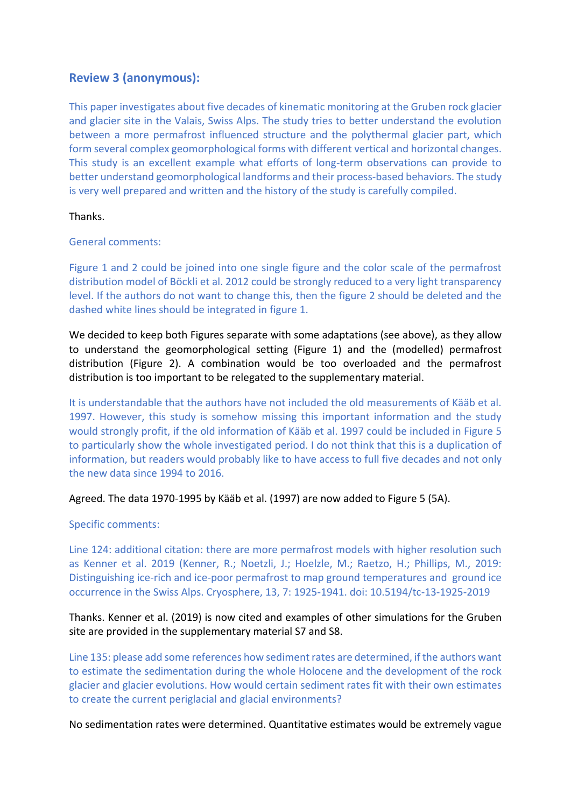# **Review 3 (anonymous):**

This paper investigates about five decades of kinematic monitoring at the Gruben rock glacier and glacier site in the Valais, Swiss Alps. The study tries to better understand the evolution between a more permafrost influenced structure and the polythermal glacier part, which form several complex geomorphological forms with different vertical and horizontal changes. This study is an excellent example what efforts of long-term observations can provide to better understand geomorphological landforms and their process-based behaviors. The study is very well prepared and written and the history of the study is carefully compiled.

#### Thanks.

General comments:

Figure 1 and 2 could be joined into one single figure and the color scale of the permafrost distribution model of Böckli et al. 2012 could be strongly reduced to a very light transparency level. If the authors do not want to change this, then the figure 2 should be deleted and the dashed white lines should be integrated in figure 1.

We decided to keep both Figures separate with some adaptations (see above), as they allow to understand the geomorphological setting (Figure 1) and the (modelled) permafrost distribution (Figure 2). A combination would be too overloaded and the permafrost distribution is too important to be relegated to the supplementary material.

It is understandable that the authors have not included the old measurements of Kääb et al. 1997. However, this study is somehow missing this important information and the study would strongly profit, if the old information of Kääb et al. 1997 could be included in Figure 5 to particularly show the whole investigated period. I do not think that this is a duplication of information, but readers would probably like to have access to full five decades and not only the new data since 1994 to 2016.

### Agreed. The data 1970-1995 by Kääb et al. (1997) are now added to Figure 5 (5A).

Specific comments:

Line 124: additional citation: there are more permafrost models with higher resolution such as Kenner et al. 2019 (Kenner, R.; Noetzli, J.; Hoelzle, M.; Raetzo, H.; Phillips, M., 2019: Distinguishing ice-rich and ice-poor permafrost to map ground temperatures and ground ice occurrence in the Swiss Alps. Cryosphere, 13, 7: 1925-1941. doi: 10.5194/tc-13-1925-2019

# Thanks. Kenner et al. (2019) is now cited and examples of other simulations for the Gruben site are provided in the supplementary material S7 and S8.

Line 135: please add some references how sediment rates are determined, if the authors want to estimate the sedimentation during the whole Holocene and the development of the rock glacier and glacier evolutions. How would certain sediment rates fit with their own estimates to create the current periglacial and glacial environments?

No sedimentation rates were determined. Quantitative estimates would be extremely vague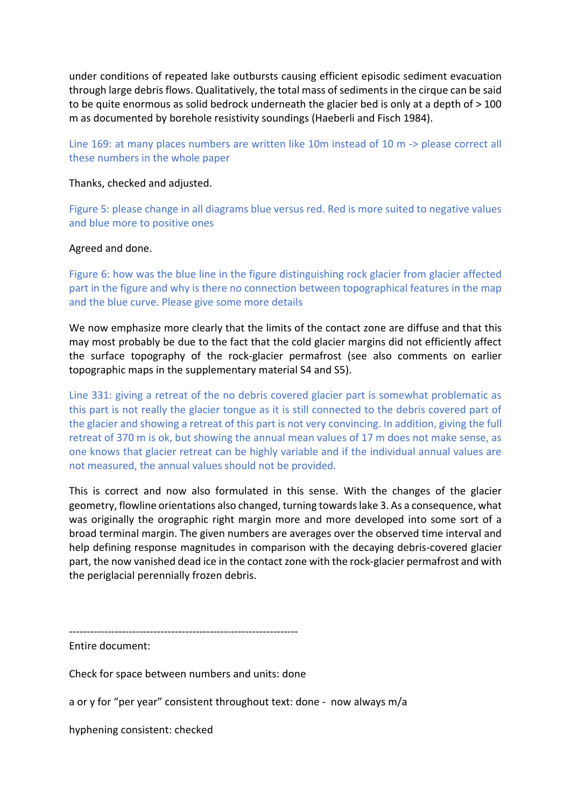under conditions of repeated lake outbursts causing efficient episodic sediment evacuation through large debris flows. Qualitatively, the total mass of sediments in the cirque can be said to be quite enormous as solid bedrock underneath the glacier bed is only at a depth of > 100 m as documented by borehole resistivity soundings (Haeberli and Fisch 1984).

Line 169: at many places numbers are written like 10m instead of 10 m -> please correct all these numbers in the whole paper

### Thanks, checked and adjusted.

Figure 5: please change in all diagrams blue versus red. Red is more suited to negative values and blue more to positive ones

### Agreed and done.

Figure 6: how was the blue line in the figure distinguishing rock glacier from glacier affected part in the figure and why is there no connection between topographical features in the map and the blue curve. Please give some more details

We now emphasize more clearly that the limits of the contact zone are diffuse and that this may most probably be due to the fact that the cold glacier margins did not efficiently affect the surface topography of the rock-glacier permafrost (see also comments on earlier topographic maps in the supplementary material S4 and S5).

Line 331: giving a retreat of the no debris covered glacier part is somewhat problematic as this part is not really the glacier tongue as it is still connected to the debris covered part of the glacier and showing a retreat of this part is not very convincing. In addition, giving the full retreat of 370 m is ok, but showing the annual mean values of 17 m does not make sense, as one knows that glacier retreat can be highly variable and if the individual annual values are not measured, the annual values should not be provided.

This is correct and now also formulated in this sense. With the changes of the glacier geometry, flowline orientations also changed, turning towards lake 3. As a consequence, what was originally the orographic right margin more and more developed into some sort of a broad terminal margin. The given numbers are averages over the observed time interval and help defining response magnitudes in comparison with the decaying debris-covered glacier part, the now vanished dead ice in the contact zone with the rock-glacier permafrost and with the periglacial perennially frozen debris.

Entire document:

Check for space between numbers and units: done

a or y for "per year" consistent throughout text: done - now always m/a

hyphening consistent: checked